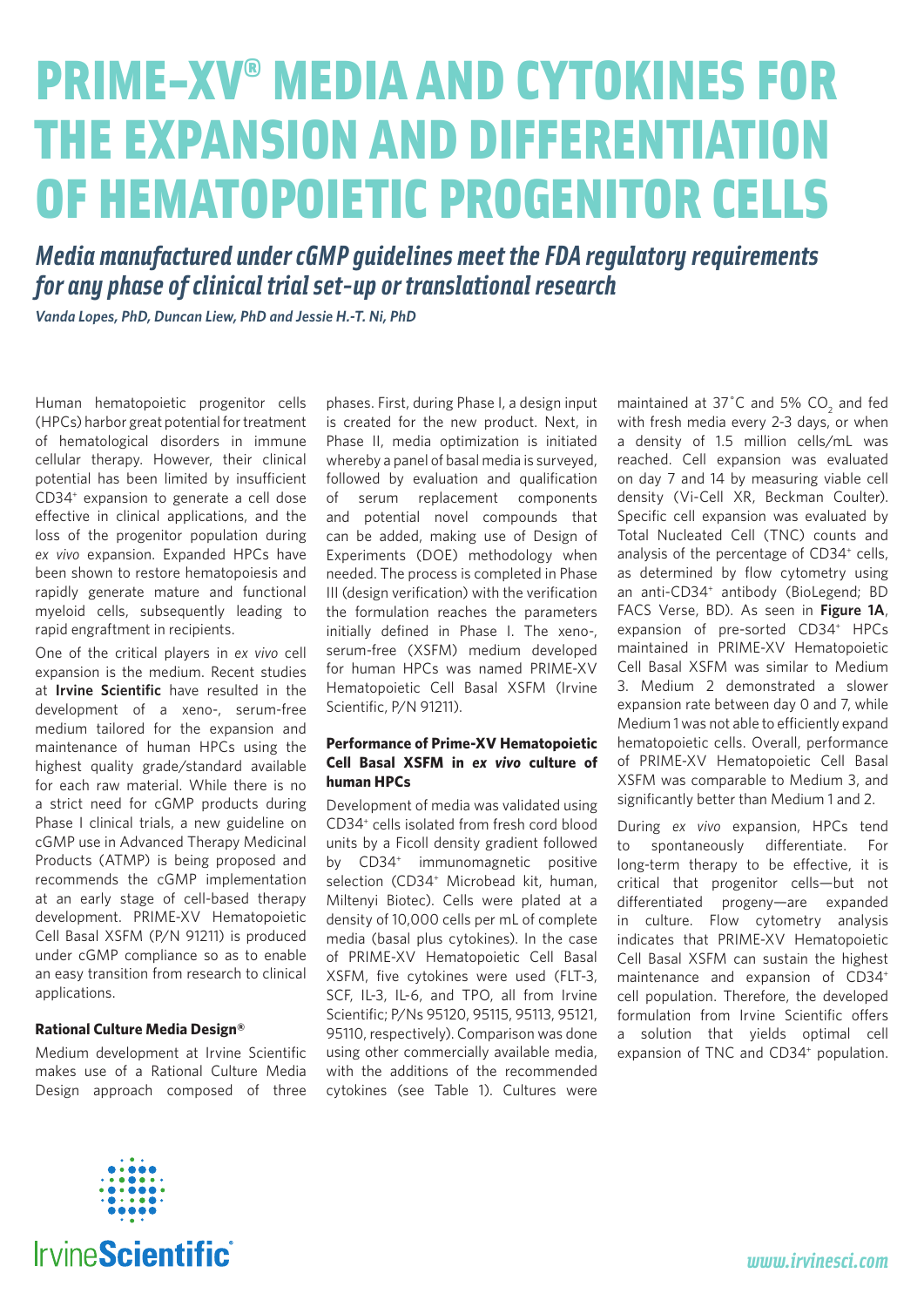## PRIME-XV ® MEDIA AND CYTOKINES FOR THE EXPANSION AND DIFFERENTIATION OF HEMATOPOIETIC PROGENITOR CELLS

*Media manufactured under cGMP guidelines meet the FDA regulatory requirements for any phase of clinical trial set-up or translational research*

*Vanda Lopes, PhD, Duncan Liew, PhD and Jessie H.-T. Ni, PhD*

Human hematopoietic progenitor cells (HPCs) harbor great potential for treatment of hematological disorders in immune cellular therapy. However, their clinical potential has been limited by insufficient CD34+ expansion to generate a cell dose effective in clinical applications, and the loss of the progenitor population during *ex vivo* expansion. Expanded HPCs have been shown to restore hematopoiesis and rapidly generate mature and functional myeloid cells, subsequently leading to rapid engraftment in recipients.

One of the critical players in *ex vivo* cell expansion is the medium. Recent studies at **Irvine Scientific** have resulted in the development of a xeno-, serum-free medium tailored for the expansion and maintenance of human HPCs using the highest quality grade/standard available for each raw material. While there is no a strict need for cGMP products during Phase I clinical trials, a new guideline on cGMP use in Advanced Therapy Medicinal Products (ATMP) is being proposed and recommends the cGMP implementation at an early stage of cell-based therapy development. PRIME-XV Hematopoietic Cell Basal XSFM (P/N 91211) is produced under cGMP compliance so as to enable an easy transition from research to clinical applications.

## **Rational Culture Media Design®**

Medium development at Irvine Scientific makes use of a Rational Culture Media Design approach composed of three phases. First, during Phase I, a design input is created for the new product. Next, in Phase II, media optimization is initiated whereby a panel of basal media is surveyed, followed by evaluation and qualification of serum replacement components and potential novel compounds that can be added, making use of Design of Experiments (DOE) methodology when needed. The process is completed in Phase III (design verification) with the verification the formulation reaches the parameters initially defined in Phase I. The xeno-, serum-free (XSFM) medium developed for human HPCs was named PRIME-XV Hematopoietic Cell Basal XSFM (Irvine Scientific, P/N 91211).

## **Performance of Prime-XV Hematopoietic Cell Basal XSFM in** *ex vivo* **culture of human HPCs**

Development of media was validated using CD34+ cells isolated from fresh cord blood units by a Ficoll density gradient followed by CD34<sup>+</sup> immunomagnetic positive selection (CD34<sup>+</sup> Microbead kit, human, Miltenyi Biotec). Cells were plated at a density of 10,000 cells per mL of complete media (basal plus cytokines). In the case of PRIME-XV Hematopoietic Cell Basal XSFM, five cytokines were used (FLT-3, SCF, IL-3, IL-6, and TPO, all from Irvine Scientific; P/Ns 95120, 95115, 95113, 95121, 95110, respectively). Comparison was done using other commercially available media, with the additions of the recommended cytokines (see Table 1). Cultures were

maintained at 37 $^{\circ}$ C and 5% CO<sub>2</sub> and fed with fresh media every 2-3 days, or when a density of 1.5 million cells/mL was reached. Cell expansion was evaluated on day 7 and 14 by measuring viable cell density (Vi-Cell XR, Beckman Coulter). Specific cell expansion was evaluated by Total Nucleated Cell (TNC) counts and analysis of the percentage of CD34<sup>+</sup> cells, as determined by flow cytometry using an anti-CD34<sup>+</sup> antibody (BioLegend; BD FACS Verse, BD). As seen in **Figure 1A**, expansion of pre-sorted CD34<sup>+</sup> HPCs maintained in PRIME-XV Hematopoietic Cell Basal XSFM was similar to Medium 3. Medium 2 demonstrated a slower expansion rate between day 0 and 7, while Medium 1 was not able to efficiently expand hematopoietic cells. Overall, performance of PRIME-XV Hematopoietic Cell Basal XSFM was comparable to Medium 3, and significantly better than Medium 1 and 2.

During *ex vivo* expansion, HPCs tend to spontaneously differentiate. For long-term therapy to be effective, it is critical that progenitor cells—but not differentiated progeny—are expanded in culture. Flow cytometry analysis indicates that PRIME-XV Hematopoietic Cell Basal XSFM can sustain the highest maintenance and expansion of CD34+ cell population. Therefore, the developed formulation from Irvine Scientific offers a solution that yields optimal cell expansion of TNC and CD34<sup>+</sup> population.

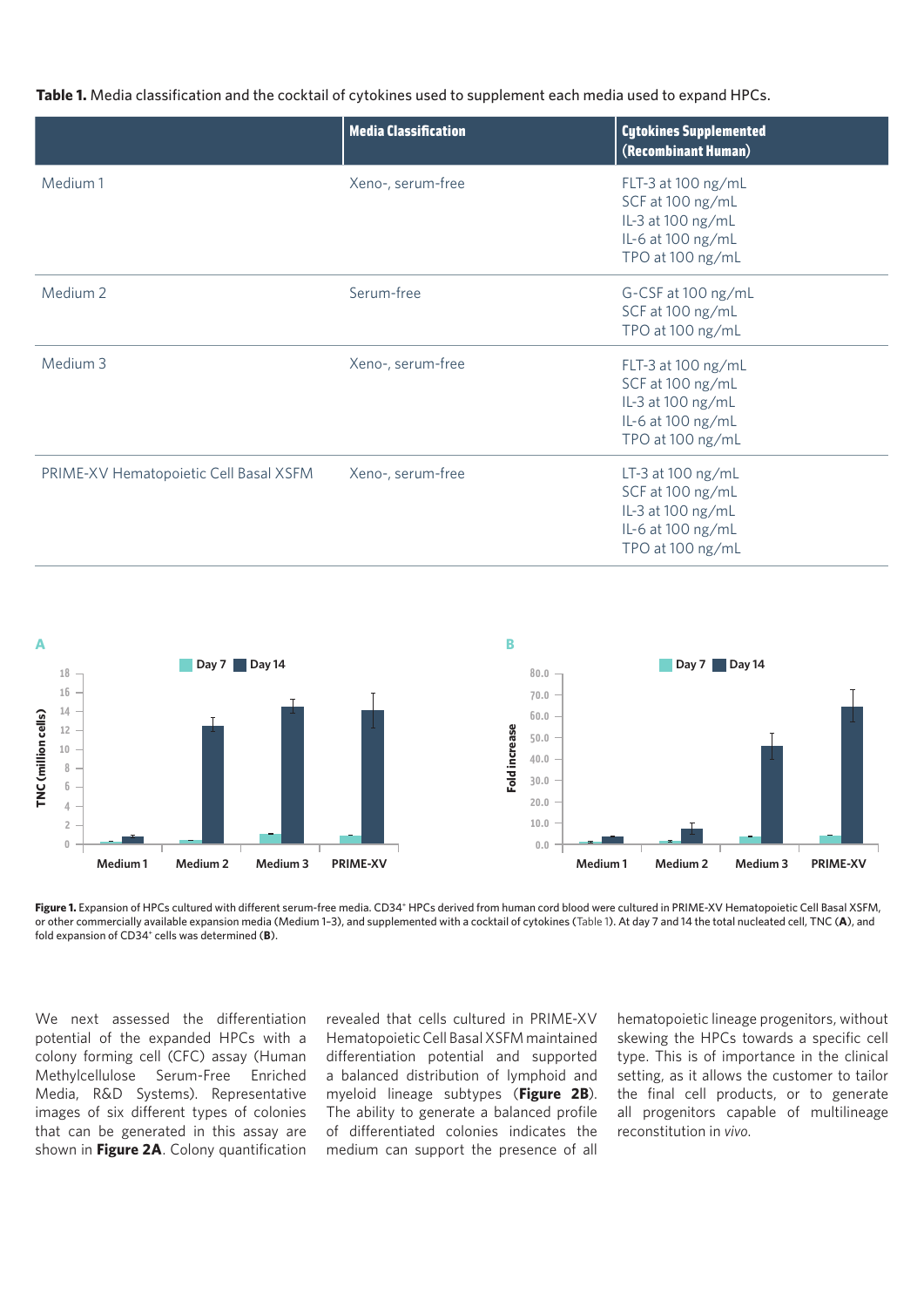**Table 1.** Media classification and the cocktail of cytokines used to supplement each media used to expand HPCs.

|                                        | <b>Media Classification</b> | <b>Cytokines Supplemented</b><br>(Recombinant Human)                                                 |
|----------------------------------------|-----------------------------|------------------------------------------------------------------------------------------------------|
| Medium 1                               | Xeno-, serum-free           | FLT-3 at 100 ng/mL<br>SCF at 100 ng/mL<br>IL-3 at 100 ng/mL<br>IL-6 at 100 ng/mL<br>TPO at 100 ng/mL |
| Medium <sub>2</sub>                    | Serum-free                  | G-CSF at 100 ng/mL<br>SCF at 100 ng/mL<br>TPO at 100 ng/mL                                           |
| Medium 3                               | Xeno-, serum-free           | FLT-3 at 100 ng/mL<br>SCF at 100 ng/mL<br>IL-3 at 100 ng/mL<br>IL-6 at 100 ng/mL<br>TPO at 100 ng/mL |
| PRIME-XV Hematopoietic Cell Basal XSFM | Xeno-, serum-free           | LT-3 at 100 ng/mL<br>SCF at 100 ng/mL<br>IL-3 at 100 ng/mL<br>IL-6 at 100 ng/mL<br>TPO at 100 ng/mL  |



Figure 1. Expansion of HPCs cultured with different serum-free media. CD34<sup>+</sup> HPCs derived from human cord blood were cultured in PRIME-XV Hematopoietic Cell Basal XSFM, or other commercially available expansion media (Medium 1–3), and supplemented with a cocktail of cytokines (Table 1). At day 7 and 14 the total nucleated cell, TNC (**A**), and fold expansion of CD34+ cells was determined (**B**).

We next assessed the differentiation potential of the expanded HPCs with a colony forming cell (CFC) assay (Human Methylcellulose Serum-Free Enriched Media, R&D Systems). Representative images of six different types of colonies that can be generated in this assay are shown in **Figure 2A**. Colony quantification revealed that cells cultured in PRIME-XV Hematopoietic Cell Basal XSFM maintained differentiation potential and supported a balanced distribution of lymphoid and myeloid lineage subtypes (**Figure 2B**). The ability to generate a balanced profile of differentiated colonies indicates the medium can support the presence of all

hematopoietic lineage progenitors, without skewing the HPCs towards a specific cell type. This is of importance in the clinical setting, as it allows the customer to tailor the final cell products, or to generate all progenitors capable of multilineage reconstitution in *vivo*.